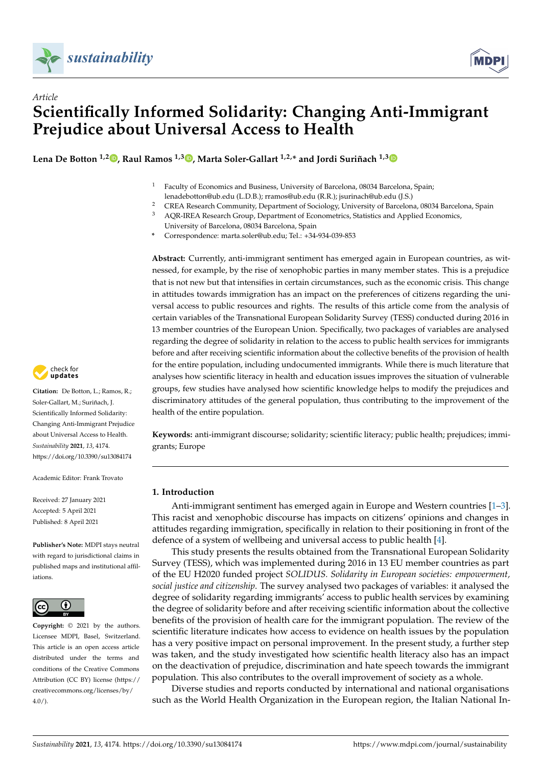



# *Article* **Scientifically Informed Solidarity: Changing Anti-Immigrant Prejudice about Universal Access to Health**

**Lena De Botton 1,2 [,](https://orcid.org/0000-0001-9909-987X) Raul Ramos 1,3 [,](https://orcid.org/0000-0003-0047-0793) Marta Soler-Gallart 1,2,\* and Jordi Suriñach 1,[3](https://orcid.org/0000-0003-2622-3280)**

- $1$  Faculty of Economics and Business, University of Barcelona, 08034 Barcelona, Spain: lenadebotton@ub.edu (L.D.B.); rramos@ub.edu (R.R.); jsurinach@ub.edu (J.S.)
- <sup>2</sup> CREA Research Community, Department of Sociology, University of Barcelona, 08034 Barcelona, Spain<br><sup>3</sup> AOP JPEA Bosoarch Crown Dopartment of Econometrics, Statistics and Applied Economics
- <sup>3</sup> AQR-IREA Research Group, Department of Econometrics, Statistics and Applied Economics,
	- University of Barcelona, 08034 Barcelona, Spain
- **\*** Correspondence: marta.soler@ub.edu; Tel.: +34-934-039-853

**Abstract:** Currently, anti-immigrant sentiment has emerged again in European countries, as witnessed, for example, by the rise of xenophobic parties in many member states. This is a prejudice that is not new but that intensifies in certain circumstances, such as the economic crisis. This change in attitudes towards immigration has an impact on the preferences of citizens regarding the universal access to public resources and rights. The results of this article come from the analysis of certain variables of the Transnational European Solidarity Survey (TESS) conducted during 2016 in 13 member countries of the European Union. Specifically, two packages of variables are analysed regarding the degree of solidarity in relation to the access to public health services for immigrants before and after receiving scientific information about the collective benefits of the provision of health for the entire population, including undocumented immigrants. While there is much literature that analyses how scientific literacy in health and education issues improves the situation of vulnerable groups, few studies have analysed how scientific knowledge helps to modify the prejudices and discriminatory attitudes of the general population, thus contributing to the improvement of the health of the entire population.

**Keywords:** anti-immigrant discourse; solidarity; scientific literacy; public health; prejudices; immigrants; Europe

## **1. Introduction**

Anti-immigrant sentiment has emerged again in Europe and Western countries [\[1](#page-11-0)[–3\]](#page-11-1). This racist and xenophobic discourse has impacts on citizens' opinions and changes in attitudes regarding immigration, specifically in relation to their positioning in front of the defence of a system of wellbeing and universal access to public health [\[4\]](#page-11-2).

This study presents the results obtained from the Transnational European Solidarity Survey (TESS), which was implemented during 2016 in 13 EU member countries as part of the EU H2020 funded project *SOLIDUS. Solidarity in European societies: empowerment, social justice and citizenship*. The survey analysed two packages of variables: it analysed the degree of solidarity regarding immigrants' access to public health services by examining the degree of solidarity before and after receiving scientific information about the collective benefits of the provision of health care for the immigrant population. The review of the scientific literature indicates how access to evidence on health issues by the population has a very positive impact on personal improvement. In the present study, a further step was taken, and the study investigated how scientific health literacy also has an impact on the deactivation of prejudice, discrimination and hate speech towards the immigrant population. This also contributes to the overall improvement of society as a whole.

Diverse studies and reports conducted by international and national organisations such as the World Health Organization in the European region, the Italian National In-



**Citation:** De Botton, L.; Ramos, R.; Soler-Gallart, M.; Suriñach, J. Scientifically Informed Solidarity: Changing Anti-Immigrant Prejudice about Universal Access to Health. *Sustainability* **2021**, *13*, 4174. <https://doi.org/10.3390/su13084174>

Academic Editor: Frank Trovato

Received: 27 January 2021 Accepted: 5 April 2021 Published: 8 April 2021

**Publisher's Note:** MDPI stays neutral with regard to jurisdictional claims in published maps and institutional affiliations.



**Copyright:** © 2021 by the authors. Licensee MDPI, Basel, Switzerland. This article is an open access article distributed under the terms and conditions of the Creative Commons Attribution (CC BY) license (https:/[/](https://creativecommons.org/licenses/by/4.0/) [creativecommons.org/licenses/by/](https://creativecommons.org/licenses/by/4.0/)  $4.0/$ ).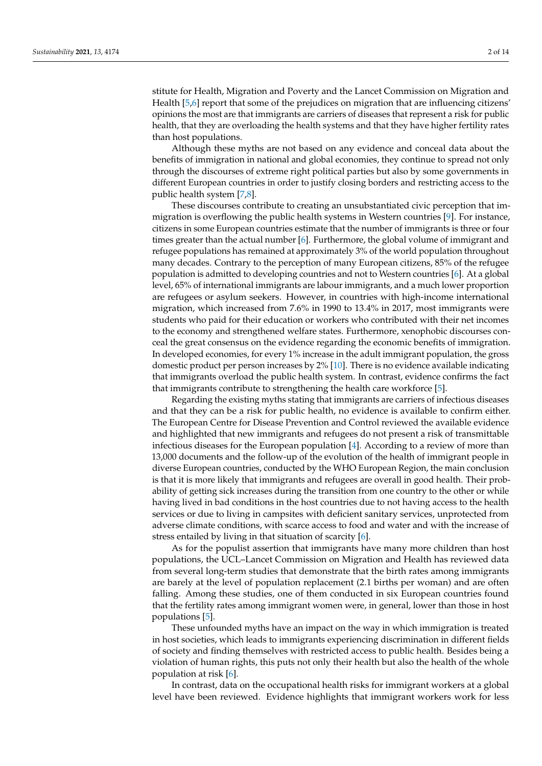stitute for Health, Migration and Poverty and the Lancet Commission on Migration and Health [\[5,](#page-11-3)[6\]](#page-12-0) report that some of the prejudices on migration that are influencing citizens' opinions the most are that immigrants are carriers of diseases that represent a risk for public health, that they are overloading the health systems and that they have higher fertility rates than host populations.

Although these myths are not based on any evidence and conceal data about the benefits of immigration in national and global economies, they continue to spread not only through the discourses of extreme right political parties but also by some governments in different European countries in order to justify closing borders and restricting access to the public health system [\[7](#page-12-1)[,8\]](#page-12-2).

These discourses contribute to creating an unsubstantiated civic perception that immigration is overflowing the public health systems in Western countries [\[9\]](#page-12-3). For instance, citizens in some European countries estimate that the number of immigrants is three or four times greater than the actual number [\[6\]](#page-12-0). Furthermore, the global volume of immigrant and refugee populations has remained at approximately 3% of the world population throughout many decades. Contrary to the perception of many European citizens, 85% of the refugee population is admitted to developing countries and not to Western countries [\[6\]](#page-12-0). At a global level, 65% of international immigrants are labour immigrants, and a much lower proportion are refugees or asylum seekers. However, in countries with high-income international migration, which increased from 7.6% in 1990 to 13.4% in 2017, most immigrants were students who paid for their education or workers who contributed with their net incomes to the economy and strengthened welfare states. Furthermore, xenophobic discourses conceal the great consensus on the evidence regarding the economic benefits of immigration. In developed economies, for every 1% increase in the adult immigrant population, the gross domestic product per person increases by 2% [\[10\]](#page-12-4). There is no evidence available indicating that immigrants overload the public health system. In contrast, evidence confirms the fact that immigrants contribute to strengthening the health care workforce [\[5\]](#page-11-3).

Regarding the existing myths stating that immigrants are carriers of infectious diseases and that they can be a risk for public health, no evidence is available to confirm either. The European Centre for Disease Prevention and Control reviewed the available evidence and highlighted that new immigrants and refugees do not present a risk of transmittable infectious diseases for the European population [\[4\]](#page-11-2). According to a review of more than 13,000 documents and the follow-up of the evolution of the health of immigrant people in diverse European countries, conducted by the WHO European Region, the main conclusion is that it is more likely that immigrants and refugees are overall in good health. Their probability of getting sick increases during the transition from one country to the other or while having lived in bad conditions in the host countries due to not having access to the health services or due to living in campsites with deficient sanitary services, unprotected from adverse climate conditions, with scarce access to food and water and with the increase of stress entailed by living in that situation of scarcity [\[6\]](#page-12-0).

As for the populist assertion that immigrants have many more children than host populations, the UCL–Lancet Commission on Migration and Health has reviewed data from several long-term studies that demonstrate that the birth rates among immigrants are barely at the level of population replacement (2.1 births per woman) and are often falling. Among these studies, one of them conducted in six European countries found that the fertility rates among immigrant women were, in general, lower than those in host populations [\[5\]](#page-11-3).

These unfounded myths have an impact on the way in which immigration is treated in host societies, which leads to immigrants experiencing discrimination in different fields of society and finding themselves with restricted access to public health. Besides being a violation of human rights, this puts not only their health but also the health of the whole population at risk [\[6\]](#page-12-0).

In contrast, data on the occupational health risks for immigrant workers at a global level have been reviewed. Evidence highlights that immigrant workers work for less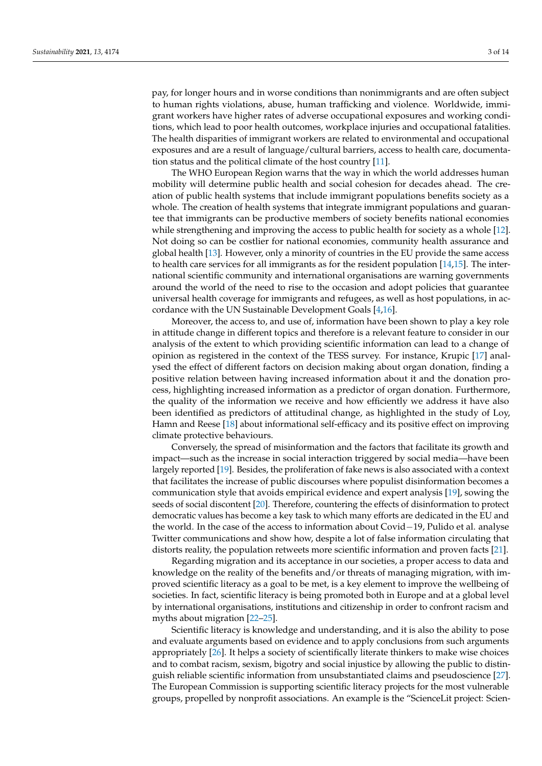pay, for longer hours and in worse conditions than nonimmigrants and are often subject to human rights violations, abuse, human trafficking and violence. Worldwide, immigrant workers have higher rates of adverse occupational exposures and working conditions, which lead to poor health outcomes, workplace injuries and occupational fatalities. The health disparities of immigrant workers are related to environmental and occupational exposures and are a result of language/cultural barriers, access to health care, documentation status and the political climate of the host country [\[11\]](#page-12-5).

The WHO European Region warns that the way in which the world addresses human mobility will determine public health and social cohesion for decades ahead. The creation of public health systems that include immigrant populations benefits society as a whole. The creation of health systems that integrate immigrant populations and guarantee that immigrants can be productive members of society benefits national economies while strengthening and improving the access to public health for society as a whole [\[12\]](#page-12-6). Not doing so can be costlier for national economies, community health assurance and global health [\[13\]](#page-12-7). However, only a minority of countries in the EU provide the same access to health care services for all immigrants as for the resident population [\[14,](#page-12-8)[15\]](#page-12-9). The international scientific community and international organisations are warning governments around the world of the need to rise to the occasion and adopt policies that guarantee universal health coverage for immigrants and refugees, as well as host populations, in accordance with the UN Sustainable Development Goals [\[4](#page-11-2)[,16\]](#page-12-10).

Moreover, the access to, and use of, information have been shown to play a key role in attitude change in different topics and therefore is a relevant feature to consider in our analysis of the extent to which providing scientific information can lead to a change of opinion as registered in the context of the TESS survey. For instance, Krupic [\[17\]](#page-12-11) analysed the effect of different factors on decision making about organ donation, finding a positive relation between having increased information about it and the donation process, highlighting increased information as a predictor of organ donation. Furthermore, the quality of the information we receive and how efficiently we address it have also been identified as predictors of attitudinal change, as highlighted in the study of Loy, Hamn and Reese [\[18\]](#page-12-12) about informational self-efficacy and its positive effect on improving climate protective behaviours.

Conversely, the spread of misinformation and the factors that facilitate its growth and impact—such as the increase in social interaction triggered by social media—have been largely reported [\[19\]](#page-12-13). Besides, the proliferation of fake news is also associated with a context that facilitates the increase of public discourses where populist disinformation becomes a communication style that avoids empirical evidence and expert analysis [\[19\]](#page-12-13), sowing the seeds of social discontent [\[20\]](#page-12-14). Therefore, countering the effects of disinformation to protect democratic values has become a key task to which many efforts are dedicated in the EU and the world. In the case of the access to information about Covid−19, Pulido et al. analyse Twitter communications and show how, despite a lot of false information circulating that distorts reality, the population retweets more scientific information and proven facts [\[21\]](#page-12-15).

Regarding migration and its acceptance in our societies, a proper access to data and knowledge on the reality of the benefits and/or threats of managing migration, with improved scientific literacy as a goal to be met, is a key element to improve the wellbeing of societies. In fact, scientific literacy is being promoted both in Europe and at a global level by international organisations, institutions and citizenship in order to confront racism and myths about migration [\[22](#page-12-16)[–25\]](#page-12-17).

Scientific literacy is knowledge and understanding, and it is also the ability to pose and evaluate arguments based on evidence and to apply conclusions from such arguments appropriately [\[26\]](#page-12-18). It helps a society of scientifically literate thinkers to make wise choices and to combat racism, sexism, bigotry and social injustice by allowing the public to distinguish reliable scientific information from unsubstantiated claims and pseudoscience [\[27\]](#page-12-19). The European Commission is supporting scientific literacy projects for the most vulnerable groups, propelled by nonprofit associations. An example is the "ScienceLit project: Scien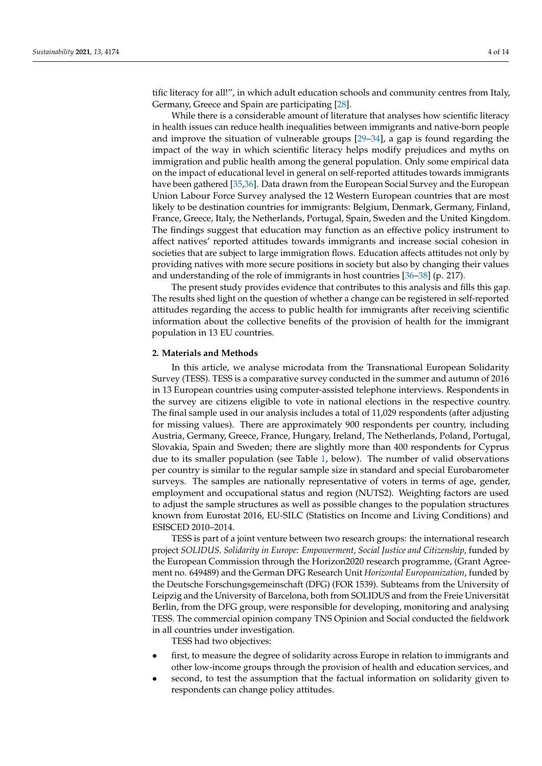tific literacy for all!", in which adult education schools and community centres from Italy, Germany, Greece and Spain are participating [\[28\]](#page-12-20).

While there is a considerable amount of literature that analyses how scientific literacy in health issues can reduce health inequalities between immigrants and native-born people and improve the situation of vulnerable groups [\[29–](#page-12-21)[34\]](#page-13-0), a gap is found regarding the impact of the way in which scientific literacy helps modify prejudices and myths on immigration and public health among the general population. Only some empirical data on the impact of educational level in general on self-reported attitudes towards immigrants have been gathered [\[35,](#page-13-1)[36\]](#page-13-2). Data drawn from the European Social Survey and the European Union Labour Force Survey analysed the 12 Western European countries that are most likely to be destination countries for immigrants: Belgium, Denmark, Germany, Finland, France, Greece, Italy, the Netherlands, Portugal, Spain, Sweden and the United Kingdom. The findings suggest that education may function as an effective policy instrument to affect natives' reported attitudes towards immigrants and increase social cohesion in societies that are subject to large immigration flows. Education affects attitudes not only by providing natives with more secure positions in society but also by changing their values and understanding of the role of immigrants in host countries [\[36–](#page-13-2)[38\]](#page-13-3) (p. 217).

The present study provides evidence that contributes to this analysis and fills this gap. The results shed light on the question of whether a change can be registered in self-reported attitudes regarding the access to public health for immigrants after receiving scientific information about the collective benefits of the provision of health for the immigrant population in 13 EU countries.

#### **2. Materials and Methods**

In this article, we analyse microdata from the Transnational European Solidarity Survey (TESS). TESS is a comparative survey conducted in the summer and autumn of 2016 in 13 European countries using computer-assisted telephone interviews. Respondents in the survey are citizens eligible to vote in national elections in the respective country. The final sample used in our analysis includes a total of 11,029 respondents (after adjusting for missing values). There are approximately 900 respondents per country, including Austria, Germany, Greece, France, Hungary, Ireland, The Netherlands, Poland, Portugal, Slovakia, Spain and Sweden; there are slightly more than 400 respondents for Cyprus due to its smaller population (see Table [1,](#page-4-0) below). The number of valid observations per country is similar to the regular sample size in standard and special Eurobarometer surveys. The samples are nationally representative of voters in terms of age, gender, employment and occupational status and region (NUTS2). Weighting factors are used to adjust the sample structures as well as possible changes to the population structures known from Eurostat 2016, EU-SILC (Statistics on Income and Living Conditions) and ESISCED 2010–2014.

TESS is part of a joint venture between two research groups: the international research project *SOLIDUS. Solidarity in Europe: Empowerment, Social Justice and Citizenship*, funded by the European Commission through the Horizon2020 research programme, (Grant Agreement no. 649489) and the German DFG Research Unit *Horizontal Europeanization*, funded by the Deutsche Forschungsgemeinschaft (DFG) (FOR 1539). Subteams from the University of Leipzig and the University of Barcelona, both from SOLIDUS and from the Freie Universität Berlin, from the DFG group, were responsible for developing, monitoring and analysing TESS. The commercial opinion company TNS Opinion and Social conducted the fieldwork in all countries under investigation.

TESS had two objectives:

- first, to measure the degree of solidarity across Europe in relation to immigrants and other low-income groups through the provision of health and education services, and
- second, to test the assumption that the factual information on solidarity given to respondents can change policy attitudes.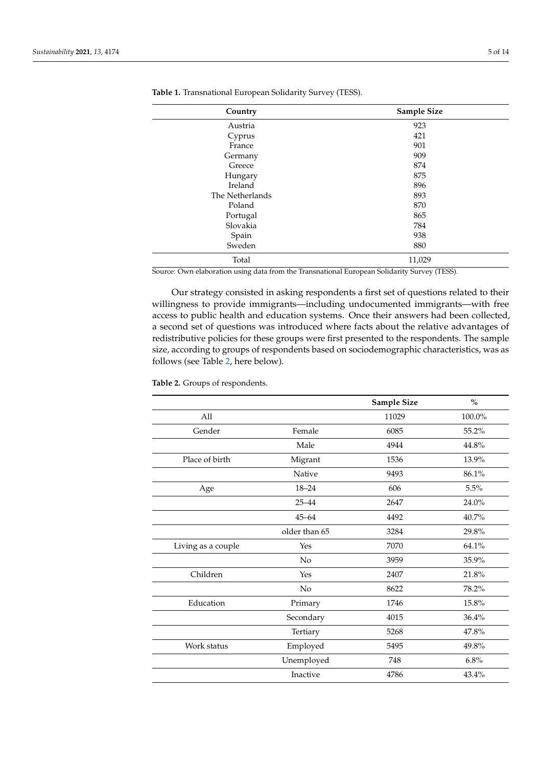| Country         | Sample Size |  |
|-----------------|-------------|--|
| Austria         | 923         |  |
| Cyprus          | 421         |  |
| France          | 901         |  |
| Germany         | 909         |  |
| Greece          | 874         |  |
| Hungary         | 875         |  |
| Ireland         | 896         |  |
| The Netherlands | 893         |  |
| Poland          | 870         |  |
| Portugal        | 865         |  |
| Slovakia        | 784         |  |
| Spain           | 938         |  |
| Sweden          | 880         |  |
| Total           | 11,029      |  |

<span id="page-4-0"></span>**Table 1.** Transnational European Solidarity Survey (TESS).

Source: Own elaboration using data from the Transnational European Solidarity Survey (TESS).

Our strategy consisted in asking respondents a first set of questions related to their willingness to provide immigrants—including undocumented immigrants—with free access to public health and education systems. Once their answers had been collected, a second set of questions was introduced where facts about the relative advantages of redistributive policies for these groups were first presented to the respondents. The sample size, according to groups of respondents based on sociodemographic characteristics, was as follows (see Table [2,](#page-5-0) here below).

|               | Sample Size | $\%$      |
|---------------|-------------|-----------|
|               | 11029       | $100.0\%$ |
| Female        | 6085        | 55.2%     |
| Male          | 4944        | 44.8%     |
| Migrant       | 1536        | 13.9%     |
| Native        | 9493        | 86.1%     |
| $18 - 24$     | 606         | 5.5%      |
| $25 - 44$     | 2647        | 24.0%     |
| $45 - 64$     | 4492        | 40.7%     |
| older than 65 | 3284        | 29.8%     |
| Yes           | 7070        | 64.1%     |
| No            | 3959        | 35.9%     |
| Yes           | 2407        | 21.8%     |
| No            | 8622        | 78.2%     |
| Primary       | 1746        | 15.8%     |
| Secondary     | 4015        | 36.4%     |
| Tertiary      | 5268        | 47.8%     |
| Employed      | 5495        | 49.8%     |
| Unemployed    | 748         | 6.8%      |
| Inactive      | 4786        | 43.4%     |
|               |             |           |

**Table 2.** Groups of respondents.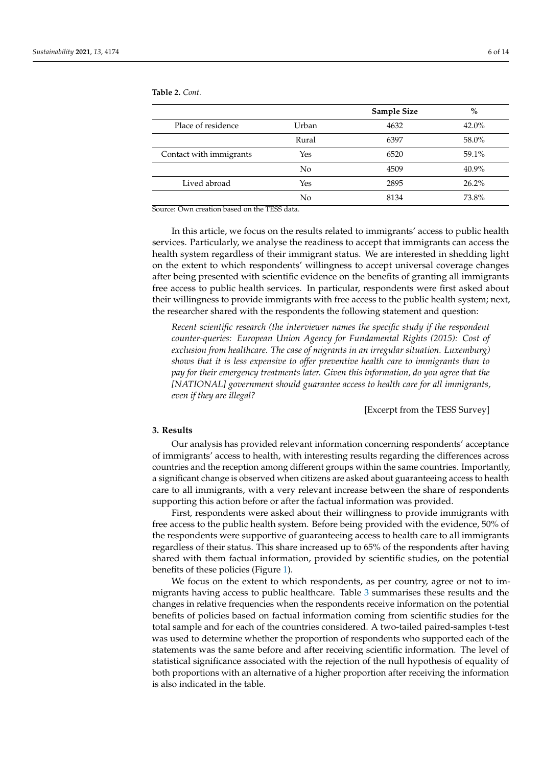**Sample Size %** Place of residence Urban 4632 42.0% Rural 6397 58.0% Contact with immigrants Tes 76520 6520 59.1% No 4509 40.9% Lived abroad Yes 2895 26.2% No 8134 73.8%

<span id="page-5-0"></span>**Table 2.** *Cont.*

Source: Own creation based on the TESS data.

In this article, we focus on the results related to immigrants' access to public health services. Particularly, we analyse the readiness to accept that immigrants can access the health system regardless of their immigrant status. We are interested in shedding light on the extent to which respondents' willingness to accept universal coverage changes after being presented with scientific evidence on the benefits of granting all immigrants free access to public health services. In particular, respondents were first asked about their willingness to provide immigrants with free access to the public health system; next, the researcher shared with the respondents the following statement and question:

*Recent scientific research (the interviewer names the specific study if the respondent counter-queries: European Union Agency for Fundamental Rights (2015): Cost of exclusion from healthcare. The case of migrants in an irregular situation. Luxemburg) shows that it is less expensive to offer preventive health care to immigrants than to pay for their emergency treatments later. Given this information, do you agree that the [NATIONAL] government should guarantee access to health care for all immigrants, even if they are illegal?*

[Excerpt from the TESS Survey]

#### **3. Results**

Our analysis has provided relevant information concerning respondents' acceptance of immigrants' access to health, with interesting results regarding the differences across countries and the reception among different groups within the same countries. Importantly, a significant change is observed when citizens are asked about guaranteeing access to health care to all immigrants, with a very relevant increase between the share of respondents supporting this action before or after the factual information was provided.

First, respondents were asked about their willingness to provide immigrants with free access to the public health system. Before being provided with the evidence, 50% of the respondents were supportive of guaranteeing access to health care to all immigrants regardless of their status. This share increased up to 65% of the respondents after having shared with them factual information, provided by scientific studies, on the potential benefits of these policies (Figure [1\)](#page-6-0).

We focus on the extent to which respondents, as per country, agree or not to immigrants having access to public healthcare. Table [3](#page-6-1) summarises these results and the changes in relative frequencies when the respondents receive information on the potential benefits of policies based on factual information coming from scientific studies for the total sample and for each of the countries considered. A two-tailed paired-samples t-test was used to determine whether the proportion of respondents who supported each of the statements was the same before and after receiving scientific information. The level of statistical significance associated with the rejection of the null hypothesis of equality of both proportions with an alternative of a higher proportion after receiving the information is also indicated in the table.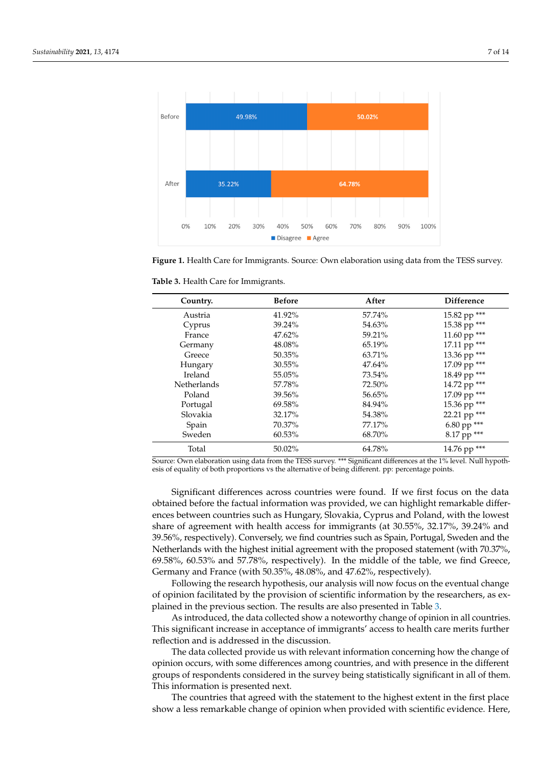<span id="page-6-0"></span>

*Sustainability* **2021**, *13*, 4174 7 of 14

**Figure 1.** Health Care for Immigrants. Source: Own elaboration using data from the TESS survey. **Figure 1.** Health Care for Immigrants. Source: Own elaboration using data from the TESS survey.

| Country.    | <b>Before</b> | After  | <b>Difference</b> |
|-------------|---------------|--------|-------------------|
| Austria     | 41.92%        | 57.74% | 15.82 pp ***      |
| Cyprus      | 39.24%        | 54.63% | 15.38 pp ***      |
| France      | 47.62%        | 59.21% | 11.60 pp ***      |
| Germany     | 48.08%        | 65.19% | 17.11 pp ***      |
| Greece      | 50.35%        | 63.71% | 13.36 pp ***      |
| Hungary     | 30.55%        | 47.64% | 17.09 pp ***      |
| Ireland     | 55.05%        | 73.54% | 18.49 pp ***      |
| Netherlands | 57.78%        | 72.50% | 14.72 pp ***      |
| Poland      | 39.56%        | 56.65% | 17.09 pp ***      |
| Portugal    | 69.58%        | 84.94% | 15.36 pp ***      |
| Slovakia    | 32.17%        | 54.38% | 22.21 pp ***      |
| Spain       | 70.37%        | 77.17% | 6.80 pp ***       |
| Sweden      | 60.53%        | 68.70% | 8.17 pp ***       |
| Total       | 50.02%        | 64.78% | 14.76 pp ***      |

<span id="page-6-1"></span>**Table 3.** Health Care for Immigrants.

FOUT THEST SURVEYS SURVEYS FOR THE TO BE THE SOURCE TO BE SURVEYS FOR THE SOURCE TO BE SURVEYS ASSEMBLED TO BE SURVEYS AND THE SOURCE TO BE SURVEYS AND THE SURVEYS AND THE SURVEYS AND THE SURVEYS AND THE SURVEYS AND THE SU France 47.62.62.11. Experiment that is the state of the state of being different. pp: percentage points.

Significant differences across countries were found. If we first focus on the data obtained before the factual information was provided, we can highlight remarkable differences between countries such as Hungary, Slovakia, Cyprus and Poland, with the lowest share of agreement with health access for immigrants (at 30.55%, 32.17%, 39.24% and 39.56%, respectively). Conversely, we find countries such as Spain, Portugal, Sweden and the Netherlands with the highest initial agreement with the proposed statement (with 70.37%, 69.58%, 60.53% and 57.78%, respectively). In the middle of the table, we find Greece, Germany and France (with 50.35%, 48.08%, and 47.62%, respectively).

http://www.changelong.com/2013/07/2013/07/2022/07/2022/07/2022/07/2022/07/2022/07<br>Following the research hypothesis, our analysis will now focus on the eventual change of opinion facilitated by the provision of scientific information by the researchers, as ex-plained in the previous section. The results are also presented in Table [3.](#page-6-1)

As introduced, the data collected show a noteworthy change of opinion in all countries. This significant increase in acceptance of immigrants' access to health care merits further points. reflection and is addressed in the discussion.

Significant differences across contribution of the data objective formation of the data observed for the data observed on the data observed of the data observed of the data observed of the data observed of the data observe opinion occurs, with some differences among countries, and with presence in the different<br>opposed, we can had a capital in the countries, at this ideal and in the different groups of respondents considered in the survey being statistically significant in all of them.<br>This information is necessated neut The data collected provide us with relevant information concerning how the change of This information is presented next.

In a mormanon is presented riext.<br>The countries that agreed with the statement to the highest extent in the first place  $\sim$  50.56%, respectively). Converse the converse such as Spain,  $\sim$  6.56%, respectively. The countries such an  $\sim$  50.76%, respectively). Such a space of a minimum velocity and such an  $\sim$  50%. The countries such an show a less remarkable change of opinion when provided with scientific evidence. Here,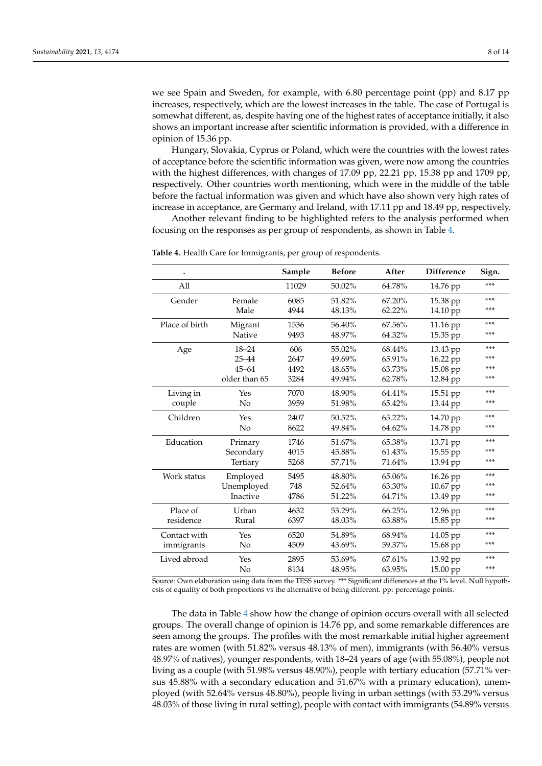we see Spain and Sweden, for example, with 6.80 percentage point (pp) and 8.17 pp increases, respectively, which are the lowest increases in the table. The case of Portugal is somewhat different, as, despite having one of the highest rates of acceptance initially, it also shows an important increase after scientific information is provided, with a difference in opinion of 15.36 pp.

Hungary, Slovakia, Cyprus or Poland, which were the countries with the lowest rates of acceptance before the scientific information was given, were now among the countries with the highest differences, with changes of 17.09 pp, 22.21 pp, 15.38 pp and 1709 pp, respectively. Other countries worth mentioning, which were in the middle of the table before the factual information was given and which have also shown very high rates of increase in acceptance, are Germany and Ireland, with 17.11 pp and 18.49 pp, respectively.

Another relevant finding to be highlighted refers to the analysis performed when focusing on the responses as per group of respondents, as shown in Table [4.](#page-7-0)

|                |               | Sample | <b>Before</b> | After  | <b>Difference</b> | Sign. |
|----------------|---------------|--------|---------------|--------|-------------------|-------|
| All            |               | 11029  | 50.02%        | 64.78% | 14.76 pp          | $***$ |
| Gender         | Female        | 6085   | 51.82%        | 67.20% | 15.38 pp          | ***   |
|                | Male          | 4944   | 48.13%        | 62.22% | 14.10 pp          | ***   |
| Place of birth | Migrant       | 1536   | 56.40%        | 67.56% | 11.16 pp          | ***   |
|                | Native        | 9493   | 48.97%        | 64.32% | 15.35 pp          | ***   |
| Age            | $18 - 24$     | 606    | 55.02%        | 68.44% | 13.43 pp          | ***   |
|                | $25 - 44$     | 2647   | 49.69%        | 65.91% | 16.22 pp          | ***   |
|                | $45 - 64$     | 4492   | 48.65%        | 63.73% | 15.08 pp          | ***   |
|                | older than 65 | 3284   | 49.94%        | 62.78% | 12.84 pp          | ***   |
| Living in      | Yes           | 7070   | 48.90%        | 64.41% | $15.51$ pp        | ***   |
| couple         | No            | 3959   | 51.98%        | 65.42% | 13.44 pp          | ***   |
| Children       | Yes           | 2407   | 50.52%        | 65.22% | 14.70 pp          | ***   |
|                | No            | 8622   | 49.84%        | 64.62% | 14.78 pp          | ***   |
| Education      | Primary       | 1746   | 51.67%        | 65.38% | 13.71 pp          | ***   |
|                | Secondary     | 4015   | 45.88%        | 61.43% | 15.55 pp          | ***   |
|                | Tertiary      | 5268   | 57.71%        | 71.64% | 13.94 pp          | ***   |
| Work status    | Employed      | 5495   | 48.80%        | 65.06% | 16.26 pp          | ***   |
|                | Unemployed    | 748    | 52.64%        | 63.30% | 10.67 pp          | ***   |
|                | Inactive      | 4786   | 51.22%        | 64.71% | 13.49 pp          | ***   |
| Place of       | Urban         | 4632   | 53.29%        | 66.25% | 12.96 pp          | ***   |
| residence      | Rural         | 6397   | 48.03%        | 63.88% | 15.85 pp          | ***   |
| Contact with   | Yes           | 6520   | 54.89%        | 68.94% | 14.05 pp          | ***   |
| immigrants     | No            | 4509   | 43.69%        | 59.37% | 15.68 pp          | ***   |
| Lived abroad   | Yes           | 2895   | 53.69%        | 67.61% | 13.92 pp          | ***   |
|                | No            | 8134   | 48.95%        | 63.95% | $15.00$ pp        | ***   |

<span id="page-7-0"></span>**Table 4.** Health Care for Immigrants, per group of respondents.

Source: Own elaboration using data from the TESS survey. \*\*\* Significant differences at the 1% level. Null hypothesis of equality of both proportions vs the alternative of being different. pp: percentage points.

The data in Table [4](#page-7-0) show how the change of opinion occurs overall with all selected groups. The overall change of opinion is 14.76 pp, and some remarkable differences are seen among the groups. The profiles with the most remarkable initial higher agreement rates are women (with 51.82% versus 48.13% of men), immigrants (with 56.40% versus 48.97% of natives), younger respondents, with 18–24 years of age (with 55.08%), people not living as a couple (with 51.98% versus 48.90%), people with tertiary education (57.71% versus 45.88% with a secondary education and 51.67% with a primary education), unemployed (with 52.64% versus 48.80%), people living in urban settings (with 53.29% versus 48.03% of those living in rural setting), people with contact with immigrants (54.89% versus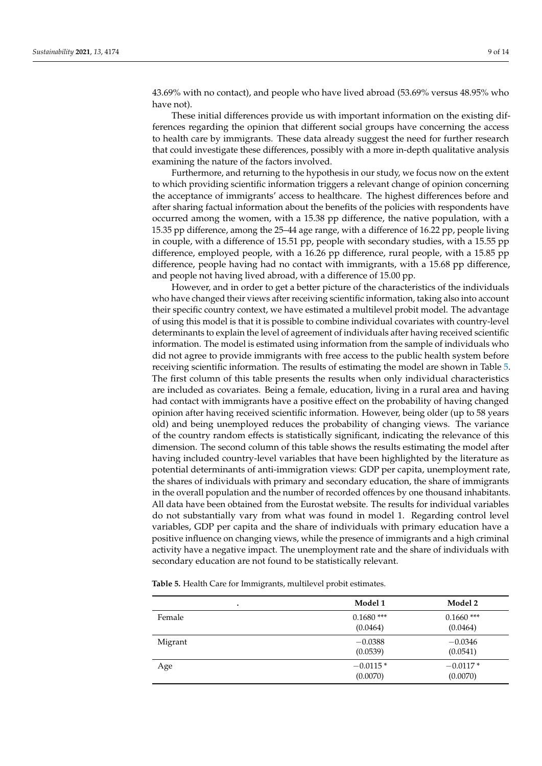43.69% with no contact), and people who have lived abroad (53.69% versus 48.95% who have not).

These initial differences provide us with important information on the existing differences regarding the opinion that different social groups have concerning the access to health care by immigrants. These data already suggest the need for further research that could investigate these differences, possibly with a more in-depth qualitative analysis examining the nature of the factors involved.

Furthermore, and returning to the hypothesis in our study, we focus now on the extent to which providing scientific information triggers a relevant change of opinion concerning the acceptance of immigrants' access to healthcare. The highest differences before and after sharing factual information about the benefits of the policies with respondents have occurred among the women, with a 15.38 pp difference, the native population, with a 15.35 pp difference, among the 25–44 age range, with a difference of 16.22 pp, people living in couple, with a difference of 15.51 pp, people with secondary studies, with a 15.55 pp difference, employed people, with a 16.26 pp difference, rural people, with a 15.85 pp difference, people having had no contact with immigrants, with a 15.68 pp difference, and people not having lived abroad, with a difference of 15.00 pp.

However, and in order to get a better picture of the characteristics of the individuals who have changed their views after receiving scientific information, taking also into account their specific country context, we have estimated a multilevel probit model. The advantage of using this model is that it is possible to combine individual covariates with country-level determinants to explain the level of agreement of individuals after having received scientific information. The model is estimated using information from the sample of individuals who did not agree to provide immigrants with free access to the public health system before receiving scientific information. The results of estimating the model are shown in Table [5.](#page-9-0) The first column of this table presents the results when only individual characteristics are included as covariates. Being a female, education, living in a rural area and having had contact with immigrants have a positive effect on the probability of having changed opinion after having received scientific information. However, being older (up to 58 years old) and being unemployed reduces the probability of changing views. The variance of the country random effects is statistically significant, indicating the relevance of this dimension. The second column of this table shows the results estimating the model after having included country-level variables that have been highlighted by the literature as potential determinants of anti-immigration views: GDP per capita, unemployment rate, the shares of individuals with primary and secondary education, the share of immigrants in the overall population and the number of recorded offences by one thousand inhabitants. All data have been obtained from the Eurostat website. The results for individual variables do not substantially vary from what was found in model 1. Regarding control level variables, GDP per capita and the share of individuals with primary education have a positive influence on changing views, while the presence of immigrants and a high criminal activity have a negative impact. The unemployment rate and the share of individuals with secondary education are not found to be statistically relevant.

**Table 5.** Health Care for Immigrants, multilevel probit estimates.

| ٠       | Model 1                  | Model 2                  |
|---------|--------------------------|--------------------------|
| Female  | $0.1680$ ***<br>(0.0464) | $0.1660$ ***<br>(0.0464) |
| Migrant | $-0.0388$<br>(0.0539)    | $-0.0346$<br>(0.0541)    |
| Age     | $-0.0115*$<br>(0.0070)   | $-0.0117*$<br>(0.0070)   |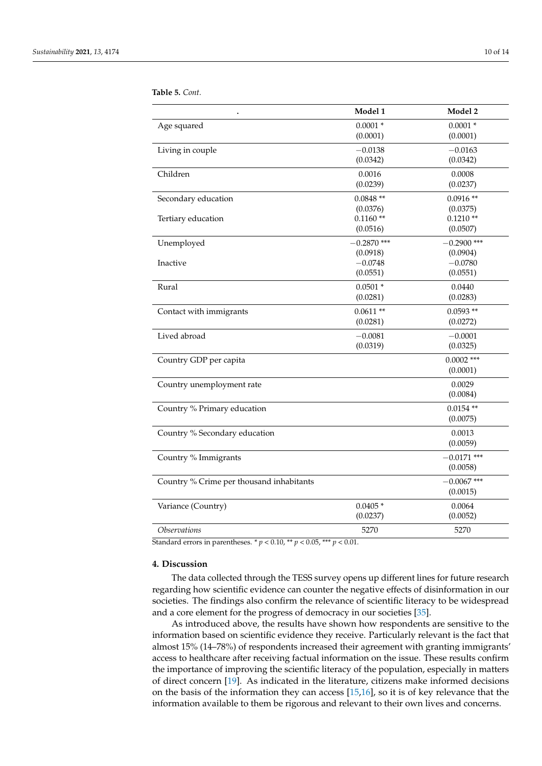|                                          | Model 1                   | Model 2                   |
|------------------------------------------|---------------------------|---------------------------|
| Age squared                              | $0.0001 *$<br>(0.0001)    | $0.0001*$<br>(0.0001)     |
| Living in couple                         | $-0.0138$<br>(0.0342)     | $-0.0163$<br>(0.0342)     |
| Children                                 | 0.0016<br>(0.0239)        | 0.0008<br>(0.0237)        |
| Secondary education                      | $0.0848**$<br>(0.0376)    | $0.0916**$<br>(0.0375)    |
| Tertiary education                       | $0.1160**$<br>(0.0516)    | $0.1210**$<br>(0.0507)    |
| Unemployed                               | $-0.2870$ ***<br>(0.0918) | $-0.2900$ ***<br>(0.0904) |
| Inactive                                 | $-0.0748$<br>(0.0551)     | $-0.0780$<br>(0.0551)     |
| Rural                                    | $0.0501 *$<br>(0.0281)    | 0.0440<br>(0.0283)        |
| Contact with immigrants                  | $0.0611**$<br>(0.0281)    | $0.0593**$<br>(0.0272)    |
| Lived abroad                             | $-0.0081$<br>(0.0319)     | $-0.0001$<br>(0.0325)     |
| Country GDP per capita                   |                           | $0.0002$ ***<br>(0.0001)  |
| Country unemployment rate                |                           | 0.0029<br>(0.0084)        |
| Country % Primary education              |                           | $0.0154**$<br>(0.0075)    |
| Country % Secondary education            |                           | 0.0013<br>(0.0059)        |
| Country % Immigrants                     |                           | $-0.0171$ ***<br>(0.0058) |
| Country % Crime per thousand inhabitants |                           | $-0.0067$ ***<br>(0.0015) |
| Variance (Country)                       | $0.0405*$<br>(0.0237)     | 0.0064<br>(0.0052)        |
| <b>Observations</b>                      | 5270                      | 5270                      |

<span id="page-9-0"></span>**Table 5.** *Cont.*

Standard errors in parentheses.  $* p < 0.10, ** p < 0.05, ** p < 0.01$ .

### **4. Discussion**

The data collected through the TESS survey opens up different lines for future research regarding how scientific evidence can counter the negative effects of disinformation in our societies. The findings also confirm the relevance of scientific literacy to be widespread and a core element for the progress of democracy in our societies [\[35\]](#page-13-1).

As introduced above, the results have shown how respondents are sensitive to the information based on scientific evidence they receive. Particularly relevant is the fact that almost 15% (14–78%) of respondents increased their agreement with granting immigrants' access to healthcare after receiving factual information on the issue. These results confirm the importance of improving the scientific literacy of the population, especially in matters of direct concern [\[19\]](#page-12-13). As indicated in the literature, citizens make informed decisions on the basis of the information they can access [\[15](#page-12-9)[,16\]](#page-12-10), so it is of key relevance that the information available to them be rigorous and relevant to their own lives and concerns.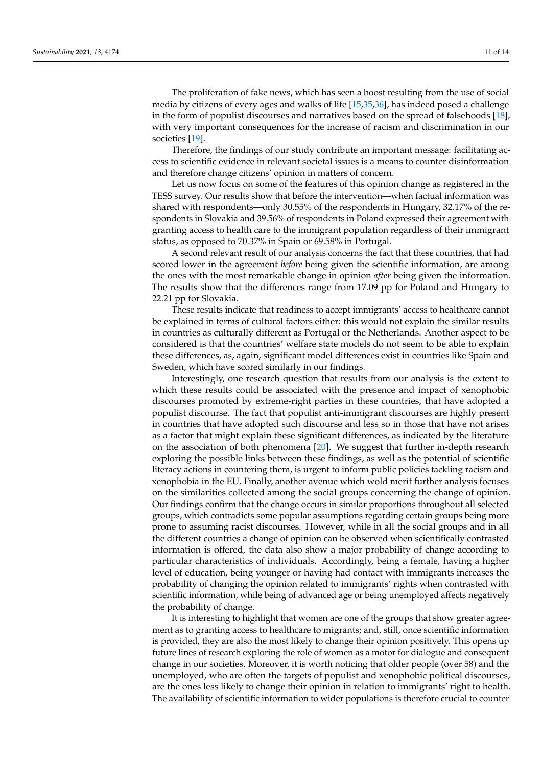The proliferation of fake news, which has seen a boost resulting from the use of social media by citizens of every ages and walks of life [\[15,](#page-12-9)[35,](#page-13-1)[36\]](#page-13-2), has indeed posed a challenge in the form of populist discourses and narratives based on the spread of falsehoods [\[18\]](#page-12-12), with very important consequences for the increase of racism and discrimination in our societies [\[19\]](#page-12-13).

Therefore, the findings of our study contribute an important message: facilitating access to scientific evidence in relevant societal issues is a means to counter disinformation and therefore change citizens' opinion in matters of concern.

Let us now focus on some of the features of this opinion change as registered in the TESS survey. Our results show that before the intervention—when factual information was shared with respondents—only 30.55% of the respondents in Hungary, 32.17% of the respondents in Slovakia and 39.56% of respondents in Poland expressed their agreement with granting access to health care to the immigrant population regardless of their immigrant status, as opposed to 70.37% in Spain or 69.58% in Portugal.

A second relevant result of our analysis concerns the fact that these countries, that had scored lower in the agreement *before* being given the scientific information, are among the ones with the most remarkable change in opinion *after* being given the information. The results show that the differences range from 17.09 pp for Poland and Hungary to 22.21 pp for Slovakia.

These results indicate that readiness to accept immigrants' access to healthcare cannot be explained in terms of cultural factors either: this would not explain the similar results in countries as culturally different as Portugal or the Netherlands. Another aspect to be considered is that the countries' welfare state models do not seem to be able to explain these differences, as, again, significant model differences exist in countries like Spain and Sweden, which have scored similarly in our findings.

Interestingly, one research question that results from our analysis is the extent to which these results could be associated with the presence and impact of xenophobic discourses promoted by extreme-right parties in these countries, that have adopted a populist discourse. The fact that populist anti-immigrant discourses are highly present in countries that have adopted such discourse and less so in those that have not arises as a factor that might explain these significant differences, as indicated by the literature on the association of both phenomena [\[20\]](#page-12-14). We suggest that further in-depth research exploring the possible links between these findings, as well as the potential of scientific literacy actions in countering them, is urgent to inform public policies tackling racism and xenophobia in the EU. Finally, another avenue which wold merit further analysis focuses on the similarities collected among the social groups concerning the change of opinion. Our findings confirm that the change occurs in similar proportions throughout all selected groups, which contradicts some popular assumptions regarding certain groups being more prone to assuming racist discourses. However, while in all the social groups and in all the different countries a change of opinion can be observed when scientifically contrasted information is offered, the data also show a major probability of change according to particular characteristics of individuals. Accordingly, being a female, having a higher level of education, being younger or having had contact with immigrants increases the probability of changing the opinion related to immigrants' rights when contrasted with scientific information, while being of advanced age or being unemployed affects negatively the probability of change.

It is interesting to highlight that women are one of the groups that show greater agreement as to granting access to healthcare to migrants; and, still, once scientific information is provided, they are also the most likely to change their opinion positively. This opens up future lines of research exploring the role of women as a motor for dialogue and consequent change in our societies. Moreover, it is worth noticing that older people (over 58) and the unemployed, who are often the targets of populist and xenophobic political discourses, are the ones less likely to change their opinion in relation to immigrants' right to health. The availability of scientific information to wider populations is therefore crucial to counter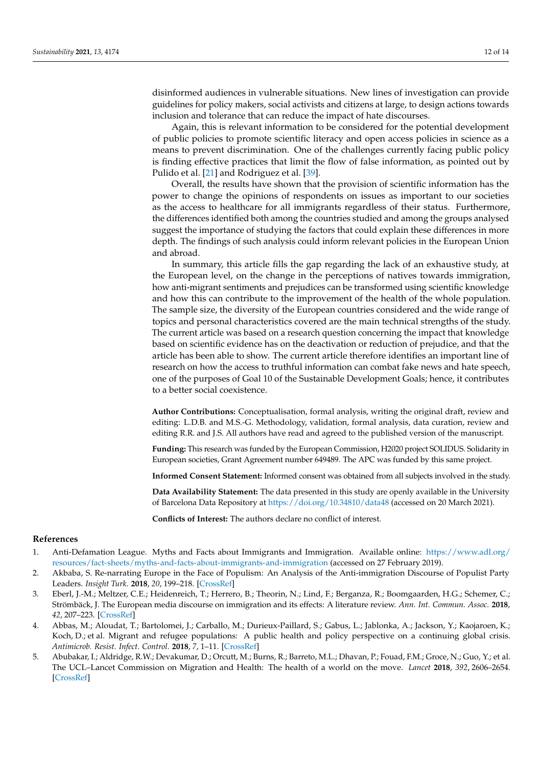disinformed audiences in vulnerable situations. New lines of investigation can provide guidelines for policy makers, social activists and citizens at large, to design actions towards inclusion and tolerance that can reduce the impact of hate discourses.

Again, this is relevant information to be considered for the potential development of public policies to promote scientific literacy and open access policies in science as a means to prevent discrimination. One of the challenges currently facing public policy is finding effective practices that limit the flow of false information, as pointed out by Pulido et al. [\[21\]](#page-12-15) and Rodriguez et al. [\[39\]](#page-13-4).

Overall, the results have shown that the provision of scientific information has the power to change the opinions of respondents on issues as important to our societies as the access to healthcare for all immigrants regardless of their status. Furthermore, the differences identified both among the countries studied and among the groups analysed suggest the importance of studying the factors that could explain these differences in more depth. The findings of such analysis could inform relevant policies in the European Union and abroad.

In summary, this article fills the gap regarding the lack of an exhaustive study, at the European level, on the change in the perceptions of natives towards immigration, how anti-migrant sentiments and prejudices can be transformed using scientific knowledge and how this can contribute to the improvement of the health of the whole population. The sample size, the diversity of the European countries considered and the wide range of topics and personal characteristics covered are the main technical strengths of the study. The current article was based on a research question concerning the impact that knowledge based on scientific evidence has on the deactivation or reduction of prejudice, and that the article has been able to show. The current article therefore identifies an important line of research on how the access to truthful information can combat fake news and hate speech, one of the purposes of Goal 10 of the Sustainable Development Goals; hence, it contributes to a better social coexistence.

**Author Contributions:** Conceptualisation, formal analysis, writing the original draft, review and editing: L.D.B. and M.S.-G. Methodology, validation, formal analysis, data curation, review and editing R.R. and J.S. All authors have read and agreed to the published version of the manuscript.

**Funding:** This research was funded by the European Commission, H2020 project SOLIDUS. Solidarity in European societies, Grant Agreement number 649489. The APC was funded by this same project.

**Informed Consent Statement:** Informed consent was obtained from all subjects involved in the study.

**Data Availability Statement:** The data presented in this study are openly available in the University of Barcelona Data Repository at <https://doi.org/10.34810/data48> (accessed on 20 March 2021).

**Conflicts of Interest:** The authors declare no conflict of interest.

#### **References**

- <span id="page-11-0"></span>1. Anti-Defamation League. Myths and Facts about Immigrants and Immigration. Available online: [https://www.adl.org/](https://www.adl.org/resources/fact-sheets/myths-and-facts-about-immigrants-and-immigration) [resources/fact-sheets/myths-and-facts-about-immigrants-and-immigration](https://www.adl.org/resources/fact-sheets/myths-and-facts-about-immigrants-and-immigration) (accessed on 27 February 2019).
- 2. Akbaba, S. Re-narrating Europe in the Face of Populism: An Analysis of the Anti-immigration Discourse of Populist Party Leaders. *Insight Turk.* **2018**, *20*, 199–218. [\[CrossRef\]](http://doi.org/10.25253/99.2018203.14)
- <span id="page-11-1"></span>3. Eberl, J.-M.; Meltzer, C.E.; Heidenreich, T.; Herrero, B.; Theorin, N.; Lind, F.; Berganza, R.; Boomgaarden, H.G.; Schemer, C.; Strömbäck, J. The European media discourse on immigration and its effects: A literature review. *Ann. Int. Commun. Assoc.* **2018**, *42*, 207–223. [\[CrossRef\]](http://doi.org/10.1080/23808985.2018.1497452)
- <span id="page-11-2"></span>4. Abbas, M.; Aloudat, T.; Bartolomei, J.; Carballo, M.; Durieux-Paillard, S.; Gabus, L.; Jablonka, A.; Jackson, Y.; Kaojaroen, K.; Koch, D.; et al. Migrant and refugee populations: A public health and policy perspective on a continuing global crisis. *Antimicrob. Resist. Infect. Control.* **2018**, *7*, 1–11. [\[CrossRef\]](http://doi.org/10.1186/s13756-018-0403-4)
- <span id="page-11-3"></span>5. Abubakar, I.; Aldridge, R.W.; Devakumar, D.; Orcutt, M.; Burns, R.; Barreto, M.L.; Dhavan, P.; Fouad, F.M.; Groce, N.; Guo, Y.; et al. The UCL–Lancet Commission on Migration and Health: The health of a world on the move. *Lancet* **2018**, *392*, 2606–2654. [\[CrossRef\]](http://doi.org/10.1016/S0140-6736(18)32114-7)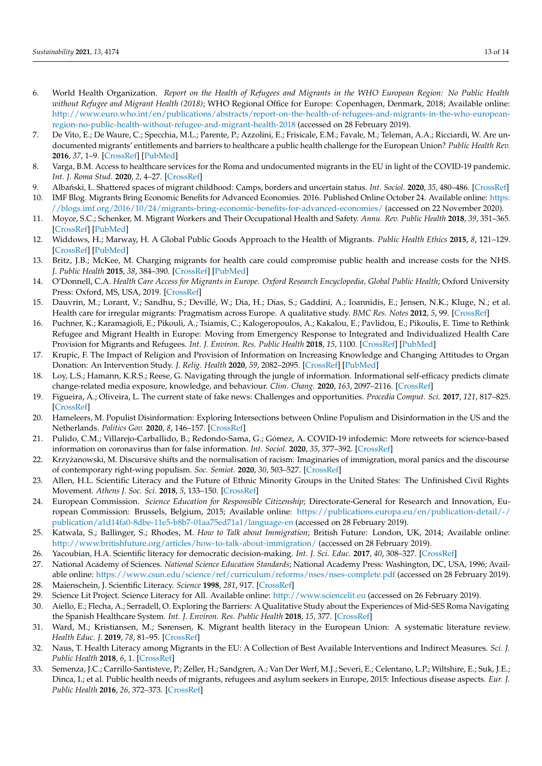- <span id="page-12-0"></span>6. World Health Organization. *Report on the Health of Refugees and Migrants in the WHO European Region: No Public Health without Refugee and Migrant Health (2018)*; WHO Regional Office for Europe: Copenhagen, Denmark, 2018; Available online: [http://www.euro.who.int/en/publications/abstracts/report-on-the-health-of-refugees-and-migrants-in-the-who-european](http://www.euro.who.int/en/publications/abstracts/report-on-the-health-of-refugees-and-migrants-in-the-who-european-region-no-public-health-without-refugee-and-migrant-health-2018)[region-no-public-health-without-refugee-and-migrant-health-2018](http://www.euro.who.int/en/publications/abstracts/report-on-the-health-of-refugees-and-migrants-in-the-who-european-region-no-public-health-without-refugee-and-migrant-health-2018) (accessed on 28 February 2019).
- <span id="page-12-1"></span>7. De Vito, E.; De Waure, C.; Specchia, M.L.; Parente, P.; Azzolini, E.; Frisicale, E.M.; Favale, M.; Teleman, A.A.; Ricciardi, W. Are undocumented migrants' entitlements and barriers to healthcare a public health challenge for the European Union? *Public Health Rev.* **2016**, *37*, 1–9. [\[CrossRef\]](http://doi.org/10.1186/s40985-016-0026-3) [\[PubMed\]](http://www.ncbi.nlm.nih.gov/pubmed/29450055)
- <span id="page-12-2"></span>8. Varga, B.M. Access to healthcare services for the Roma and undocumented migrants in the EU in light of the COVID-19 pandemic. *Int. J. Roma Stud.* **2020**, *2*, 4–27. [\[CrossRef\]](http://doi.org/10.17583/ijrs.2020.5952)
- <span id="page-12-4"></span><span id="page-12-3"></span>9. Alba ´nski, Ł. Shattered spaces of migrant childhood: Camps, borders and uncertain status. *Int. Sociol.* **2020**, *35*, 480–486. [\[CrossRef\]](http://doi.org/10.1177/0268580920957912) 10. IMF Blog. Migrants Bring Economic Benefits for Advanced Economies. 2016. Published Online October 24. Available online: [https:](https://blogs.imf.org/2016/10/24/migrants-bring-economic-benefits-for-advanced-economies/)
- <span id="page-12-5"></span>[//blogs.imf.org/2016/10/24/migrants-bring-economic-benefits-for-advanced-economies/](https://blogs.imf.org/2016/10/24/migrants-bring-economic-benefits-for-advanced-economies/) (accessed on 22 November 2020). 11. Moyce, S.C.; Schenker, M. Migrant Workers and Their Occupational Health and Safety. *Annu. Rev. Public Health* **2018**, *39*, 351–365.
- <span id="page-12-6"></span>[\[CrossRef\]](http://doi.org/10.1146/annurev-publhealth-040617-013714) [\[PubMed\]](http://www.ncbi.nlm.nih.gov/pubmed/29400993) 12. Widdows, H.; Marway, H. A Global Public Goods Approach to the Health of Migrants. *Public Health Ethics* **2015**, *8*, 121–129. [\[CrossRef\]](http://doi.org/10.1093/phe/phv013) [\[PubMed\]](http://www.ncbi.nlm.nih.gov/pubmed/26180550)
- <span id="page-12-7"></span>13. Britz, J.B.; McKee, M. Charging migrants for health care could compromise public health and increase costs for the NHS. *J. Public Health* **2015**, *38*, 384–390. [\[CrossRef\]](http://doi.org/10.1093/pubmed/fdv043) [\[PubMed\]](http://www.ncbi.nlm.nih.gov/pubmed/25904814)
- <span id="page-12-8"></span>14. O'Donnell, C.A. *Health Care Access for Migrants in Europe. Oxford Research Encyclopedia, Global Public Health*; Oxford University Press: Oxford, MS, USA, 2019. [\[CrossRef\]](http://doi.org/10.1093/acrefore/9780190632366.013.6)
- <span id="page-12-9"></span>15. Dauvrin, M.; Lorant, V.; Sandhu, S.; Devillé, W.; Dia, H.; Dias, S.; Gaddini, A.; Ioannidis, E.; Jensen, N.K.; Kluge, N.; et al. Health care for irregular migrants: Pragmatism across Europe. A qualitative study. *BMC Res. Notes* **2012**, *5*, 99. [\[CrossRef\]](http://doi.org/10.1186/1756-0500-5-99)
- <span id="page-12-10"></span>16. Puchner, K.; Karamagioli, E.; Pikouli, A.; Tsiamis, C.; Kalogeropoulos, A.; Kakalou, E.; Pavlidou, E.; Pikoulis, E. Time to Rethink Refugee and Migrant Health in Europe: Moving from Emergency Response to Integrated and Individualized Health Care Provision for Migrants and Refugees. *Int. J. Environ. Res. Public Health* **2018**, *15*, 1100. [\[CrossRef\]](http://doi.org/10.3390/ijerph15061100) [\[PubMed\]](http://www.ncbi.nlm.nih.gov/pubmed/29843445)
- <span id="page-12-11"></span>17. Krupic, F. The Impact of Religion and Provision of Information on Increasing Knowledge and Changing Attitudes to Organ Donation: An Intervention Study. *J. Relig. Health* **2020**, *59*, 2082–2095. [\[CrossRef\]](http://doi.org/10.1007/s10943-019-00961-0) [\[PubMed\]](http://www.ncbi.nlm.nih.gov/pubmed/31838627)
- <span id="page-12-12"></span>18. Loy, L.S.; Hamann, K.R.S.; Reese, G. Navigating through the jungle of information. Informational self-efficacy predicts climate change-related media exposure, knowledge, and behaviour. *Clim. Chang.* **2020**, *163*, 2097–2116. [\[CrossRef\]](http://doi.org/10.1007/s10584-020-02918-9)
- <span id="page-12-13"></span>19. Figueira, Á.; Oliveira, L. The current state of fake news: Challenges and opportunities. *Procedia Comput. Sci.* **2017**, *121*, 817–825. [\[CrossRef\]](http://doi.org/10.1016/j.procs.2017.11.106)
- <span id="page-12-14"></span>20. Hameleers, M. Populist Disinformation: Exploring Intersections between Online Populism and Disinformation in the US and the Netherlands. *Politics Gov.* **2020**, *8*, 146–157. [\[CrossRef\]](http://doi.org/10.17645/pag.v8i1.2478)
- <span id="page-12-15"></span>21. Pulido, C.M.; Villarejo-Carballido, B.; Redondo-Sama, G.; Gómez, A. COVID-19 infodemic: More retweets for science-based information on coronavirus than for false information. *Int. Sociol.* **2020**, *35*, 377–392. [\[CrossRef\]](http://doi.org/10.1177/0268580920914755)
- <span id="page-12-16"></span>22. Krzyżanowski, M. Discursive shifts and the normalisation of racism: Imaginaries of immigration, moral panics and the discourse of contemporary right-wing populism. *Soc. Semiot.* **2020**, *30*, 503–527. [\[CrossRef\]](http://doi.org/10.1080/10350330.2020.1766199)
- 23. Allen, H.L. Scientific Literacy and the Future of Ethnic Minority Groups in the United States: The Unfinished Civil Rights Movement. *Athens J. Soc. Sci.* **2018**, *5*, 133–150. [\[CrossRef\]](http://doi.org/10.30958/ajss.5-2-1)
- 24. European Commission. *Science Education for Responsible Citizenship*; Directorate-General for Research and Innovation, European Commission: Brussels, Belgium, 2015; Available online: [https://publications.europa.eu/en/publication-detail/-/](https://publications.europa.eu/en/publication-detail/-/publication/a1d14fa0-8dbe-11e5-b8b7-01aa75ed71a1/language-en) [publication/a1d14fa0-8dbe-11e5-b8b7-01aa75ed71a1/language-en](https://publications.europa.eu/en/publication-detail/-/publication/a1d14fa0-8dbe-11e5-b8b7-01aa75ed71a1/language-en) (accessed on 28 February 2019).
- <span id="page-12-17"></span>25. Katwala, S.; Ballinger, S.; Rhodes, M. *How to Talk about Immigration*; British Future: London, UK, 2014; Available online: <http://www.britishfuture.org/articles/how-to-talk-about-immigration/> (accessed on 28 February 2019).
- <span id="page-12-18"></span>26. Yacoubian, H.A. Scientific literacy for democratic decision-making. *Int. J. Sci. Educ.* **2017**, *40*, 308–327. [\[CrossRef\]](http://doi.org/10.1080/09500693.2017.1420266)
- <span id="page-12-19"></span>27. National Academy of Sciences. *National Science Education Standards*; National Academy Press: Washington, DC, USA, 1996; Available online: <https://www.csun.edu/science/ref/curriculum/reforms/nses/nses-complete.pdf> (accessed on 28 February 2019).
- <span id="page-12-20"></span>28. Maienschein, J. Scientific Literacy. *Science* **1998**, *281*, 917. [\[CrossRef\]](http://doi.org/10.1126/science.281.5379.917)
- <span id="page-12-21"></span>29. Science Lit Project. Science Literacy for All. Available online: <http://www.sciencelit.eu> (accessed on 26 February 2019).
- 30. Aiello, E.; Flecha, A.; Serradell, O. Exploring the Barriers: A Qualitative Study about the Experiences of Mid-SES Roma Navigating the Spanish Healthcare System. *Int. J. Environ. Res. Public Health* **2018**, *15*, 377. [\[CrossRef\]](http://doi.org/10.3390/ijerph15020377)
- 31. Ward, M.; Kristiansen, M.; Sørensen, K. Migrant health literacy in the European Union: A systematic literature review. *Health Educ. J.* **2019**, *78*, 81–95. [\[CrossRef\]](http://doi.org/10.1177/0017896918792700)
- 32. Naus, T. Health Literacy among Migrants in the EU: A Collection of Best Available Interventions and Indirect Measures. *Sci. J. Public Health* **2018**, *6*, 1. [\[CrossRef\]](http://doi.org/10.11648/j.sjph.20180601.11)
- 33. Semenza, J.C.; Carrillo-Santisteve, P.; Zeller, H.; Sandgren, A.; Van Der Werf, M.J.; Severi, E.; Celentano, L.P.; Wiltshire, E.; Suk, J.E.; Dinca, I.; et al. Public health needs of migrants, refugees and asylum seekers in Europe, 2015: Infectious disease aspects. *Eur. J. Public Health* **2016**, *26*, 372–373. [\[CrossRef\]](http://doi.org/10.1093/eurpub/ckw023)